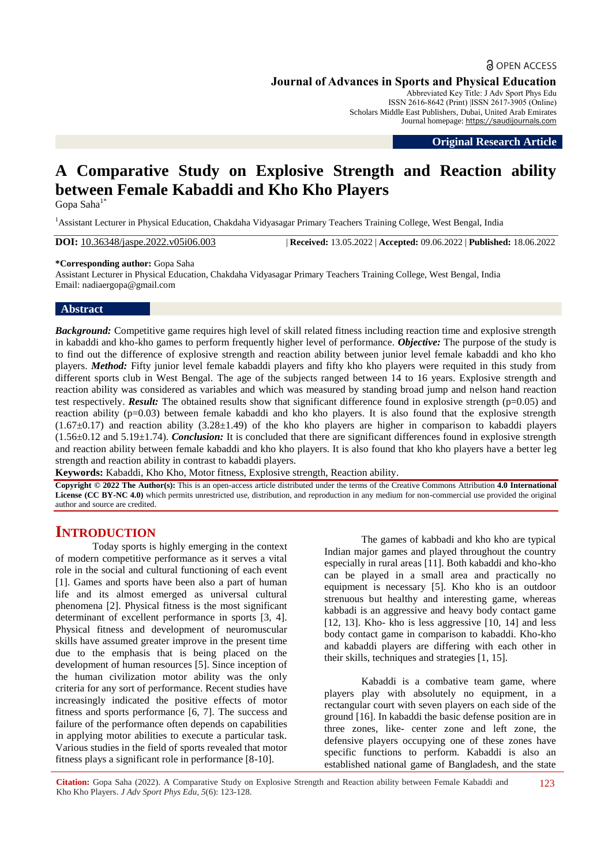# **a** OPEN ACCESS **Journal of Advances in Sports and Physical Education**

Abbreviated Key Title: J Adv Sport Phys Edu ISSN 2616-8642 (Print) |ISSN 2617-3905 (Online) Scholars Middle East Publishers, Dubai, United Arab Emirates Journal homepage: [https://saudijournals.com](https://saudijournals.com/jaspe)

**Original Research Article**

# **A Comparative Study on Explosive Strength and Reaction ability between Female Kabaddi and Kho Kho Players**

Gopa Saha<sup>1\*</sup>

<sup>1</sup>Assistant Lecturer in Physical Education, Chakdaha Vidyasagar Primary Teachers Training College, West Bengal, India

**DOI:** 10.36348/jaspe.2022.v05i06.003 | **Received:** 13.05.2022 | **Accepted:** 09.06.2022 | **Published:** 18.06.2022

#### **\*Corresponding author:** Gopa Saha

Assistant Lecturer in Physical Education, Chakdaha Vidyasagar Primary Teachers Training College, West Bengal, India Email: nadiaergopa@gmail.com

## **Abstract**

*Background:* Competitive game requires high level of skill related fitness including reaction time and explosive strength in kabaddi and kho-kho games to perform frequently higher level of performance. *Objective:* The purpose of the study is to find out the difference of explosive strength and reaction ability between junior level female kabaddi and kho kho players. *Method:* Fifty junior level female kabaddi players and fifty kho kho players were requited in this study from different sports club in West Bengal. The age of the subjects ranged between 14 to 16 years. Explosive strength and reaction ability was considered as variables and which was measured by standing broad jump and nelson hand reaction test respectively. *Result:* The obtained results show that significant difference found in explosive strength (p=0.05) and reaction ability (p=0.03) between female kabaddi and kho kho players. It is also found that the explosive strength  $(1.67\pm0.17)$  and reaction ability  $(3.28\pm1.49)$  of the kho kho players are higher in comparison to kabaddi players (1.56±0.12 and 5.19±1.74). *Conclusion:* It is concluded that there are significant differences found in explosive strength and reaction ability between female kabaddi and kho kho players. It is also found that kho kho players have a better leg strength and reaction ability in contrast to kabaddi players.

**Keywords:** Kabaddi, Kho Kho, Motor fitness, Explosive strength, Reaction ability*.*

**Copyright © 2022 The Author(s):** This is an open-access article distributed under the terms of the Creative Commons Attribution **4.0 International License (CC BY-NC 4.0)** which permits unrestricted use, distribution, and reproduction in any medium for non-commercial use provided the original author and source are credited.

# **INTRODUCTION**

Today sports is highly emerging in the context of modern competitive performance as it serves a vital role in the social and cultural functioning of each event [1]. Games and sports have been also a part of human life and its almost emerged as universal cultural phenomena [2]. Physical fitness is the most significant determinant of excellent performance in sports [3, 4]. Physical fitness and development of neuromuscular skills have assumed greater improve in the present time due to the emphasis that is being placed on the development of human resources [5]. Since inception of the human civilization motor ability was the only criteria for any sort of performance. Recent studies have increasingly indicated the positive effects of motor fitness and sports performance [6, 7]. The success and failure of the performance often depends on capabilities in applying motor abilities to execute a particular task. Various studies in the field of sports revealed that motor fitness plays a significant role in performance [8-10].

The games of kabbadi and kho kho are typical Indian major games and played throughout the country especially in rural areas [11]. Both kabaddi and kho-kho can be played in a small area and practically no equipment is necessary [5]. Kho kho is an outdoor strenuous but healthy and interesting game, whereas kabbadi is an aggressive and heavy body contact game  $[12, 13]$ . Kho- kho is less aggressive  $[10, 14]$  and less body contact game in comparison to kabaddi. Kho-kho and kabaddi players are differing with each other in their skills, techniques and strategies [1, 15].

Kabaddi is a combative team game, where players play with absolutely no equipment, in a rectangular court with seven players on each side of the ground [16]. In kabaddi the basic defense position are in three zones, like- center zone and left zone, the defensive players occupying one of these zones have specific functions to perform. Kabaddi is also an established national game of Bangladesh, and the state

**Citation:** Gopa Saha (2022). A Comparative Study on Explosive Strength and Reaction ability between Female Kabaddi and Kho Kho Players. *J Adv Sport Phys Edu, 5*(6): 123-128.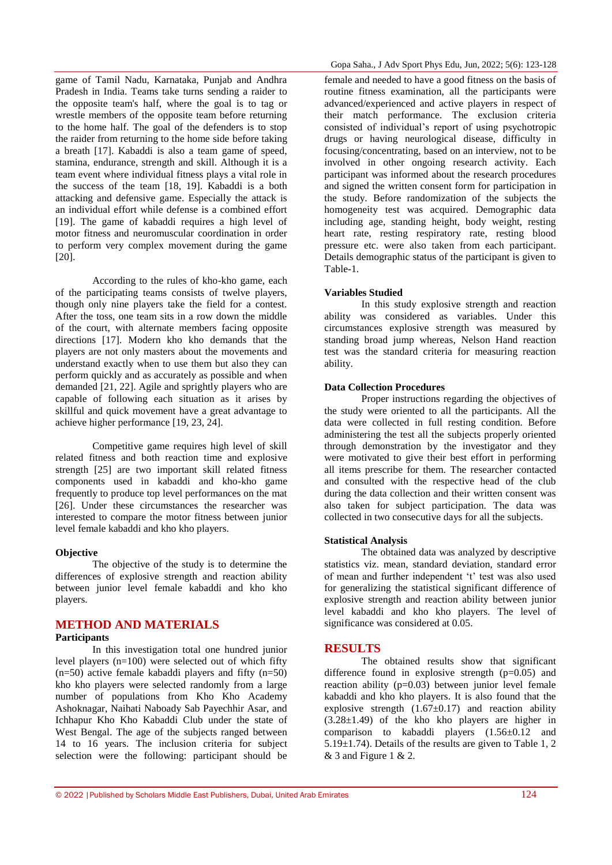game of Tamil Nadu, Karnataka, Punjab and Andhra Pradesh in India. Teams take turns sending a raider to the opposite team's half, where the goal is to tag or wrestle members of the opposite team before returning to the home half. The goal of the defenders is to stop the raider from returning to the home side before taking a breath [17]. Kabaddi is also a team game of speed, stamina, endurance, strength and skill. Although it is a team event where individual fitness plays a vital role in the success of the team [18, 19]. Kabaddi is a both attacking and defensive game. Especially the attack is an individual effort while defense is a combined effort [19]. The game of kabaddi requires a high level of motor fitness and neuromuscular coordination in order to perform very complex movement during the game [20].

According to the rules of kho-kho game, each of the participating teams consists of twelve players, though only nine players take the field for a contest. After the toss, one team sits in a row down the middle of the court, with alternate members facing opposite directions [17]. Modern kho kho demands that the players are not only masters about the movements and understand exactly when to use them but also they can perform quickly and as accurately as possible and when demanded [21, 22]. Agile and sprightly players who are capable of following each situation as it arises by skillful and quick movement have a great advantage to achieve higher performance [19, 23, 24].

Competitive game requires high level of skill related fitness and both reaction time and explosive strength [25] are two important skill related fitness components used in kabaddi and kho-kho game frequently to produce top level performances on the mat [26]. Under these circumstances the researcher was interested to compare the motor fitness between junior level female kabaddi and kho kho players.

#### **Objective**

The objective of the study is to determine the differences of explosive strength and reaction ability between junior level female kabaddi and kho kho players.

## **METHOD AND MATERIALS**

#### **Participants**

In this investigation total one hundred junior level players (n=100) were selected out of which fifty  $(n=50)$  active female kabaddi players and fifty  $(n=50)$ kho kho players were selected randomly from a large number of populations from Kho Kho Academy Ashoknagar, Naihati Naboady Sab Payechhir Asar, and Ichhapur Kho Kho Kabaddi Club under the state of West Bengal. The age of the subjects ranged between 14 to 16 years. The inclusion criteria for subject selection were the following: participant should be

female and needed to have a good fitness on the basis of routine fitness examination, all the participants were advanced/experienced and active players in respect of their match performance. The exclusion criteria consisted of individual"s report of using psychotropic drugs or having neurological disease, difficulty in focusing/concentrating, based on an interview, not to be involved in other ongoing research activity. Each participant was informed about the research procedures and signed the written consent form for participation in the study. Before randomization of the subjects the homogeneity test was acquired. Demographic data including age, standing height, body weight, resting heart rate, resting respiratory rate, resting blood pressure etc. were also taken from each participant. Details demographic status of the participant is given to Table-1.

#### **Variables Studied**

In this study explosive strength and reaction ability was considered as variables. Under this circumstances explosive strength was measured by standing broad jump whereas, Nelson Hand reaction test was the standard criteria for measuring reaction ability.

### **Data Collection Procedures**

Proper instructions regarding the objectives of the study were oriented to all the participants. All the data were collected in full resting condition. Before administering the test all the subjects properly oriented through demonstration by the investigator and they were motivated to give their best effort in performing all items prescribe for them. The researcher contacted and consulted with the respective head of the club during the data collection and their written consent was also taken for subject participation. The data was collected in two consecutive days for all the subjects.

#### **Statistical Analysis**

The obtained data was analyzed by descriptive statistics viz. mean, standard deviation, standard error of mean and further independent 't' test was also used for generalizing the statistical significant difference of explosive strength and reaction ability between junior level kabaddi and kho kho players. The level of significance was considered at 0.05.

### **RESULTS**

The obtained results show that significant difference found in explosive strength  $(p=0.05)$  and reaction ability  $(p=0.03)$  between junior level female kabaddi and kho kho players. It is also found that the explosive strength  $(1.67\pm0.17)$  and reaction ability (3.28±1.49) of the kho kho players are higher in comparison to kabaddi players (1.56±0.12 and 5.19±1.74). Details of the results are given to Table 1, 2  $& 3$  and Figure 1  $& 2$ .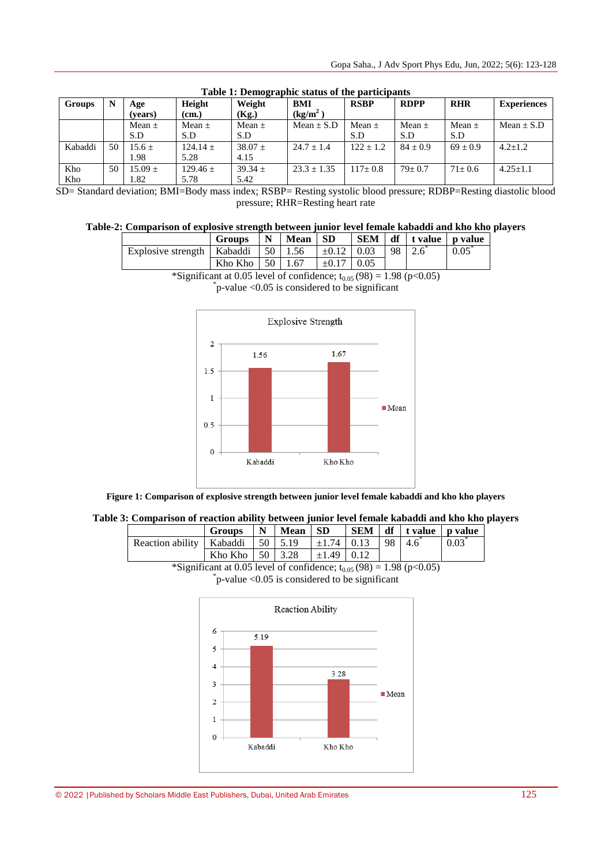| <b>Groups</b> | N  | Age         | Height       | -----<br>Weight | BMI                  | <b>RSBP</b>   | <b>RDPP</b>  | <b>RHR</b>   | <b>Experiences</b> |
|---------------|----|-------------|--------------|-----------------|----------------------|---------------|--------------|--------------|--------------------|
|               |    | (vears)     | (cm.)        | (Kg.)           | (kg/m <sup>2</sup> ) |               |              |              |                    |
|               |    | Mean $\pm$  | Mean $\pm$   | Mean $\pm$      | Mean $\pm$ S.D       | Mean $\pm$    | Mean $\pm$   | Mean $\pm$   | Mean $\pm$ S.D     |
|               |    | S.D         | S.D          | S.D             |                      | S.D           | S.D          | S.D          |                    |
| Kabaddi       | 50 | $15.6 \pm$  | $124.14 \pm$ | $38.07 +$       | $24.7 \pm 1.4$       | $122 \pm 1.2$ | $84 \pm 0.9$ | $69 + 0.9$   | $4.2 \pm 1.2$      |
|               |    | 1.98        | 5.28         | 4.15            |                      |               |              |              |                    |
| Kho           | 50 | $15.09 \pm$ | $129.46 +$   | $39.34 \pm$     | $23.3 \pm 1.35$      | $117 + 0.8$   | $79+0.7$     | $71 \pm 0.6$ | $4.25 + 1.1$       |
| Kho           |    | 1.82        | 5.78         | 5.42            |                      |               |              |              |                    |

#### **Table 1: Demographic status of the participants**

SD= Standard deviation; BMI=Body mass index; RSBP= Resting systolic blood pressure; RDBP=Resting diastolic blood pressure; RHR=Resting heart rate

## **Table-2: Comparison of explosive strength between junior level female kabaddi and kho kho players**

|                                          | <b>Groups</b> | N               | <b>Mean</b> | -SD             | <b>SEM</b> |    | $df$ t value p value |      |
|------------------------------------------|---------------|-----------------|-------------|-----------------|------------|----|----------------------|------|
| Explosive strength   Kabaddi             |               | 50 <sup>1</sup> | 1.56        | $\pm 0.12$ 0.03 |            | 98 |                      | 0.05 |
|                                          | Kho Kho       | 50              | 1.67        | $\pm 0.17$      | 0.05       |    |                      |      |
| the contract of the contract of the con- |               |                 |             |                 |            |    |                      |      |

\*Significant at 0.05 level of confidence;  $t_{0.05}$  (98) = 1.98 (p<0.05)

\* p-value <0.05 is considered to be significant



**Figure 1: Comparison of explosive strength between junior level female kabaddi and kho kho players**

| Table 3: Comparison of reaction ability between junior level female kabaddi and kho kho players |
|-------------------------------------------------------------------------------------------------|
|-------------------------------------------------------------------------------------------------|

|                                        | Groups $\vert N \vert$ Mean $\vert SD \vert$ |  |                              |  | SEM df tvalue p value |      |
|----------------------------------------|----------------------------------------------|--|------------------------------|--|-----------------------|------|
| Reaction ability   Kabaddi   50   5.19 |                                              |  | $\pm 1.74$   0.13   98   4.6 |  |                       | 0.03 |
|                                        | Kho Kho $\vert 50 \vert 3.28$                |  | $\pm 1.49$ 0.12              |  |                       |      |

\*Significant at 0.05 level of confidence;  $t_{0.05}$  (98) = 1.98 (p<0.05)

\* p-value <0.05 is considered to be significant

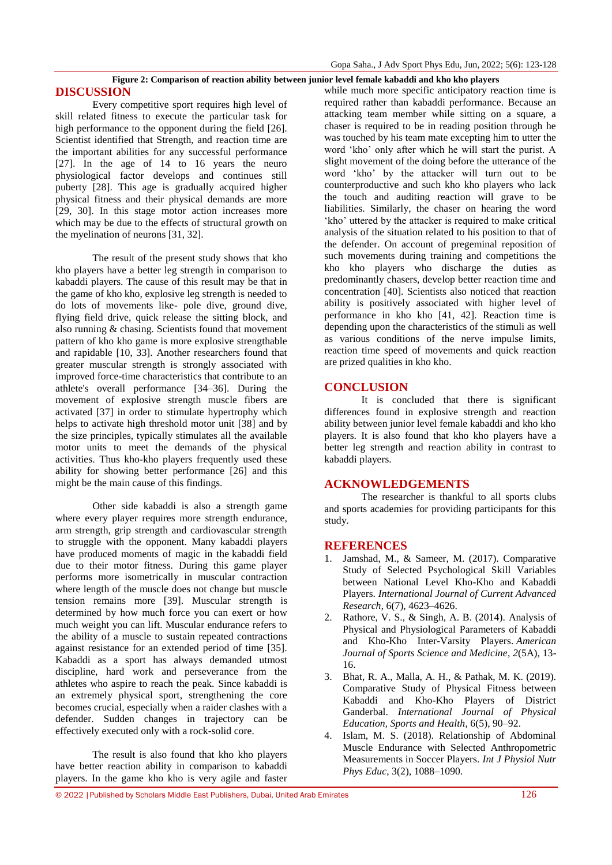# **Figure 2: Comparison of reaction ability between junior level female kabaddi and kho kho players**

**DISCUSSION**

Every competitive sport requires high level of skill related fitness to execute the particular task for high performance to the opponent during the field [26]. Scientist identified that Strength, and reaction time are the important abilities for any successful performance [27]. In the age of 14 to 16 years the neuro physiological factor develops and continues still puberty [28]. This age is gradually acquired higher physical fitness and their physical demands are more [29, 30]. In this stage motor action increases more which may be due to the effects of structural growth on the myelination of neurons [31, 32].

The result of the present study shows that kho kho players have a better leg strength in comparison to kabaddi players. The cause of this result may be that in the game of kho kho, explosive leg strength is needed to do lots of movements like- pole dive, ground dive, flying field drive, quick release the sitting block, and also running & chasing. Scientists found that movement pattern of kho kho game is more explosive strengthable and rapidable [10, 33]. Another researchers found that greater muscular strength is strongly associated with improved force-time characteristics that contribute to an athlete's overall performance [34–36]. During the movement of explosive strength muscle fibers are activated [37] in order to stimulate hypertrophy which helps to activate high threshold motor unit [38] and by the size principles, typically stimulates all the available motor units to meet the demands of the physical activities. Thus kho-kho players frequently used these ability for showing better performance [26] and this might be the main cause of this findings.

Other side kabaddi is also a strength game where every player requires more strength endurance, arm strength, grip strength and cardiovascular strength to struggle with the opponent. Many kabaddi players have produced moments of magic in the kabaddi field due to their motor fitness. During this game player performs more isometrically in muscular contraction where length of the muscle does not change but muscle tension remains more [39]. Muscular strength is determined by how much force you can exert or how much weight you can lift. Muscular endurance refers to the ability of a muscle to sustain repeated contractions against resistance for an extended period of time [35]. Kabaddi as a sport has always demanded utmost discipline, hard work and perseverance from the athletes who aspire to reach the peak. Since kabaddi is an extremely physical sport, strengthening the core becomes crucial, especially when a raider clashes with a defender. Sudden changes in trajectory can be effectively executed only with a rock-solid core.

The result is also found that kho kho players have better reaction ability in comparison to kabaddi players. In the game kho kho is very agile and faster

while much more specific anticipatory reaction time is required rather than kabaddi performance. Because an attacking team member while sitting on a square, a chaser is required to be in reading position through he was touched by his team mate excepting him to utter the word "kho" only after which he will start the purist. A slight movement of the doing before the utterance of the word "kho" by the attacker will turn out to be counterproductive and such kho kho players who lack the touch and auditing reaction will grave to be liabilities. Similarly, the chaser on hearing the word 'kho' uttered by the attacker is required to make critical analysis of the situation related to his position to that of the defender. On account of pregeminal reposition of such movements during training and competitions the kho kho players who discharge the duties as predominantly chasers, develop better reaction time and concentration [40]. Scientists also noticed that reaction ability is positively associated with higher level of performance in kho kho [41, 42]. Reaction time is depending upon the characteristics of the stimuli as well as various conditions of the nerve impulse limits, reaction time speed of movements and quick reaction are prized qualities in kho kho.

# **CONCLUSION**

It is concluded that there is significant differences found in explosive strength and reaction ability between junior level female kabaddi and kho kho players. It is also found that kho kho players have a better leg strength and reaction ability in contrast to kabaddi players.

# **ACKNOWLEDGEMENTS**

The researcher is thankful to all sports clubs and sports academies for providing participants for this study.

## **REFERENCES**

- 1. Jamshad, M., & Sameer, M. (2017). Comparative Study of Selected Psychological Skill Variables between National Level Kho-Kho and Kabaddi Players. *International Journal of Current Advanced Research*, 6(7), 4623–4626.
- 2. Rathore, V. S., & Singh, A. B. (2014). Analysis of Physical and Physiological Parameters of Kabaddi and Kho-Kho Inter-Varsity Players. *American Journal of Sports Science and Medicine*, *2*(5A), 13- 16.
- 3. Bhat, R. A., Malla, A. H., & Pathak, M. K. (2019). Comparative Study of Physical Fitness between Kabaddi and Kho-Kho Players of District Ganderbal. *International Journal of Physical Education, Sports and Health*, 6(5), 90–92.
- 4. Islam, M. S. (2018). Relationship of Abdominal Muscle Endurance with Selected Anthropometric Measurements in Soccer Players. *Int J Physiol Nutr Phys Educ*, 3(2), 1088–1090.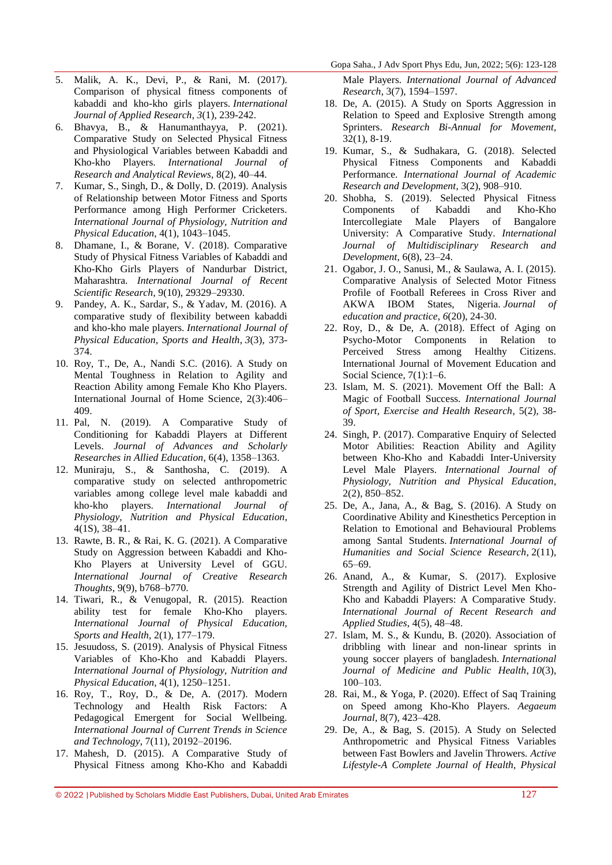- 5. Malik, A. K., Devi, P., & Rani, M. (2017). Comparison of physical fitness components of kabaddi and kho-kho girls players. *International Journal of Applied Research*, *3*(1), 239-242.
- 6. Bhavya, B., & Hanumanthayya, P. (2021). Comparative Study on Selected Physical Fitness and Physiological Variables between Kabaddi and Kho-kho Players. *International Journal of Research and Analytical Reviews*, 8(2), 40–44.
- 7. Kumar, S., Singh, D., & Dolly, D. (2019). Analysis of Relationship between Motor Fitness and Sports Performance among High Performer Cricketers. *International Journal of Physiology, Nutrition and Physical Education*, 4(1), 1043–1045.
- 8. Dhamane, I., & Borane, V. (2018). Comparative Study of Physical Fitness Variables of Kabaddi and Kho-Kho Girls Players of Nandurbar District, Maharashtra. *International Journal of Recent Scientific Research*, 9(10), 29329–29330.
- 9. Pandey, A. K., Sardar, S., & Yadav, M. (2016). A comparative study of flexibility between kabaddi and kho-kho male players. *International Journal of Physical Education, Sports and Health*, *3*(3), 373- 374.
- 10. Roy, T., De, A., Nandi S.C. (2016). A Study on Mental Toughness in Relation to Agility and Reaction Ability among Female Kho Kho Players. International Journal of Home Science, 2(3):406– 409.
- 11. Pal, N. (2019). A Comparative Study of Conditioning for Kabaddi Players at Different Levels. *Journal of Advances and Scholarly Researches in Allied Education*, 6(4), 1358–1363.
- 12. Muniraju, S., & Santhosha, C. (2019). A comparative study on selected anthropometric variables among college level male kabaddi and kho-kho players. *International Journal of Physiology, Nutrition and Physical Education*, 4(1S), 38–41.
- 13. Rawte, B. R., & Rai, K. G. (2021). A Comparative Study on Aggression between Kabaddi and Kho-Kho Players at University Level of GGU. *International Journal of Creative Research Thoughts*, 9(9), b768–b770.
- 14. Tiwari, R., & Venugopal, R. (2015). Reaction ability test for female Kho-Kho players. *International Journal of Physical Education, Sports and Health*, 2(1), 177–179.
- 15. Jesuudoss, S. (2019). Analysis of Physical Fitness Variables of Kho-Kho and Kabaddi Players. *International Journal of Physiology, Nutrition and Physical Education*, 4(1), 1250–1251.
- 16. Roy, T., Roy, D., & De, A. (2017). Modern Technology and Health Risk Factors: A Pedagogical Emergent for Social Wellbeing. *International Journal of Current Trends in Science and Technology*, 7(11), 20192–20196.
- 17. Mahesh, D. (2015). A Comparative Study of Physical Fitness among Kho-Kho and Kabaddi

Male Players. *International Journal of Advanced Research*, 3(7), 1594–1597.

- 18. De, A. (2015). A Study on Sports Aggression in Relation to Speed and Explosive Strength among Sprinters. *Research Bi-Annual for Movement*, 32(1), 8-19.
- 19. Kumar, S., & Sudhakara, G. (2018). Selected Physical Fitness Components and Kabaddi Performance. *International Journal of Academic Research and Development*, 3(2), 908–910.
- 20. Shobha, S. (2019). Selected Physical Fitness Components of Kabaddi and Kho-Kho Intercollegiate Male Players of Bangalore University: A Comparative Study. *International Journal of Multidisciplinary Research and Development*, 6(8), 23–24.
- 21. Ogabor, J. O., Sanusi, M., & Saulawa, A. I. (2015). Comparative Analysis of Selected Motor Fitness Profile of Football Referees in Cross River and AKWA IBOM States, Nigeria. *Journal of education and practice*, *6*(20), 24-30.
- 22. Roy, D., & De, A. (2018). Effect of Aging on Psycho-Motor Components in Relation to Perceived Stress among Healthy Citizens. International Journal of Movement Education and Social Science, 7(1):1–6.
- 23. Islam, M. S. (2021). Movement Off the Ball: A Magic of Football Success. *International Journal of Sport, Exercise and Health Research*, 5(2), 38- 39.
- 24. Singh, P. (2017). Comparative Enquiry of Selected Motor Abilities: Reaction Ability and Agility between Kho-Kho and Kabaddi Inter-University Level Male Players. *International Journal of Physiology, Nutrition and Physical Education*, 2(2), 850–852.
- 25. De, A., Jana, A., & Bag, S. (2016). A Study on Coordinative Ability and Kinesthetics Perception in Relation to Emotional and Behavioural Problems among Santal Students. *International Journal of Humanities and Social Science Research*, 2(11), 65–69.
- 26. Anand, A., & Kumar, S. (2017). Explosive Strength and Agility of District Level Men Kho-Kho and Kabaddi Players: A Comparative Study. *International Journal of Recent Research and Applied Studies*, 4(5), 48–48.
- 27. Islam, M. S., & Kundu, B. (2020). Association of dribbling with linear and non-linear sprints in young soccer players of bangladesh. *International Journal of Medicine and Public Health*, *10*(3), 100–103.
- 28. Rai, M., & Yoga, P. (2020). Effect of Saq Training on Speed among Kho-Kho Players. *Aegaeum Journal*, 8(7), 423–428.
- 29. De, A., & Bag, S. (2015). A Study on Selected Anthropometric and Physical Fitness Variables between Fast Bowlers and Javelin Throwers. *Active Lifestyle-A Complete Journal of Health, Physical*

<sup>© 2022</sup> |Published by Scholars Middle East Publishers, Dubai, United Arab Emirates 127